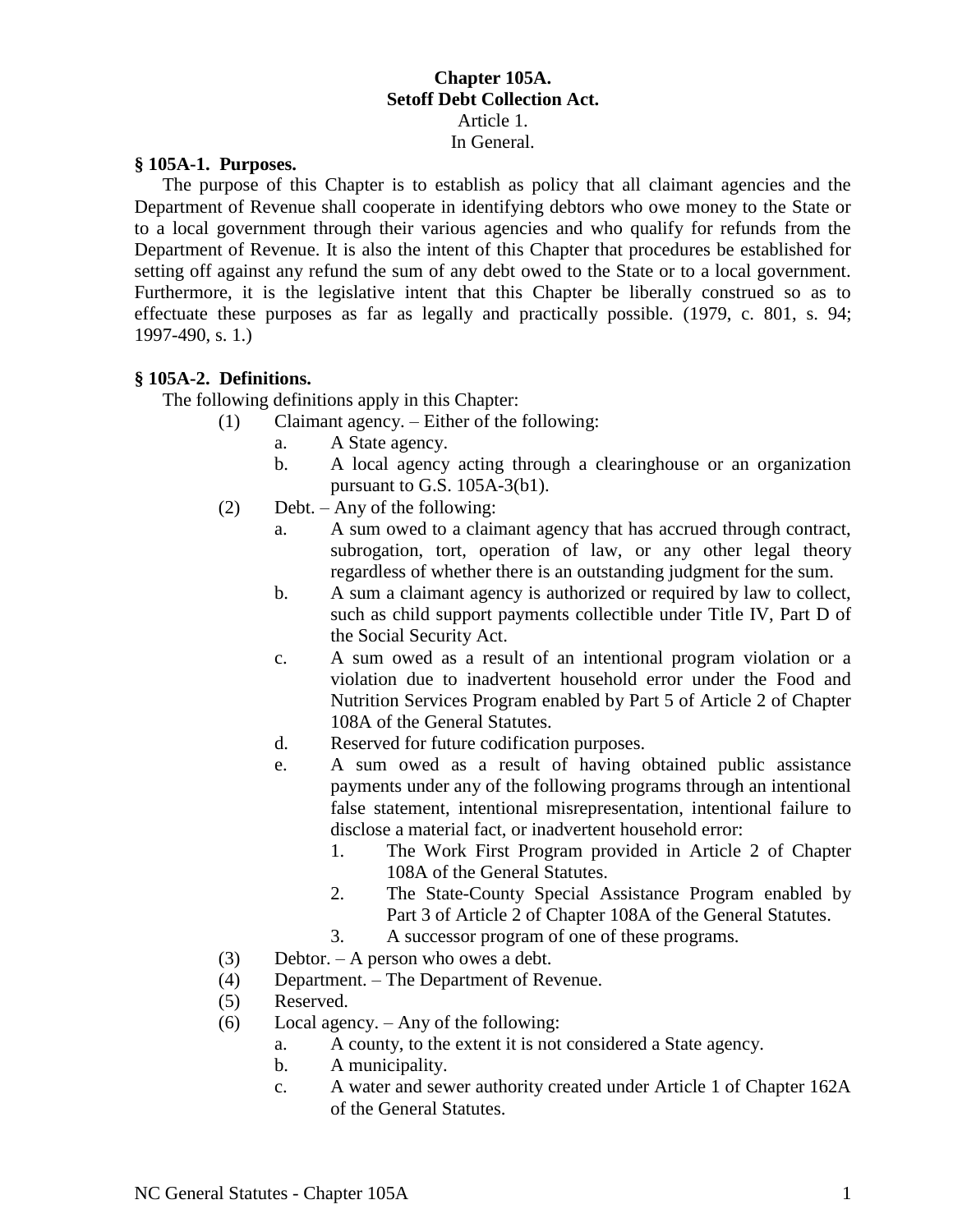# **Chapter 105A. Setoff Debt Collection Act.**  Article 1. In General.

#### **§ 105A-1. Purposes.**

The purpose of this Chapter is to establish as policy that all claimant agencies and the Department of Revenue shall cooperate in identifying debtors who owe money to the State or to a local government through their various agencies and who qualify for refunds from the Department of Revenue. It is also the intent of this Chapter that procedures be established for setting off against any refund the sum of any debt owed to the State or to a local government. Furthermore, it is the legislative intent that this Chapter be liberally construed so as to effectuate these purposes as far as legally and practically possible. (1979, c. 801, s. 94; 1997-490, s. 1.)

## **§ 105A-2. Definitions.**

The following definitions apply in this Chapter:

- (1) Claimant agency. Either of the following:
	- a. A State agency.
	- b. A local agency acting through a clearinghouse or an organization pursuant to G.S. 105A-3(b1).
- (2) Debt. Any of the following:
	- a. A sum owed to a claimant agency that has accrued through contract, subrogation, tort, operation of law, or any other legal theory regardless of whether there is an outstanding judgment for the sum.
	- b. A sum a claimant agency is authorized or required by law to collect, such as child support payments collectible under Title IV, Part D of the Social Security Act.
	- c. A sum owed as a result of an intentional program violation or a violation due to inadvertent household error under the Food and Nutrition Services Program enabled by Part 5 of Article 2 of Chapter 108A of the General Statutes.
	- d. Reserved for future codification purposes.
	- e. A sum owed as a result of having obtained public assistance payments under any of the following programs through an intentional false statement, intentional misrepresentation, intentional failure to disclose a material fact, or inadvertent household error:
		- 1. The Work First Program provided in Article 2 of Chapter 108A of the General Statutes.
		- 2. The State-County Special Assistance Program enabled by Part 3 of Article 2 of Chapter 108A of the General Statutes.
		- 3. A successor program of one of these programs.
- (3) Debtor. A person who owes a debt.
- (4) Department. The Department of Revenue.
- (5) Reserved.
- (6) Local agency. Any of the following:
	- a. A county, to the extent it is not considered a State agency.
	- b. A municipality.
	- c. A water and sewer authority created under Article 1 of Chapter 162A of the General Statutes.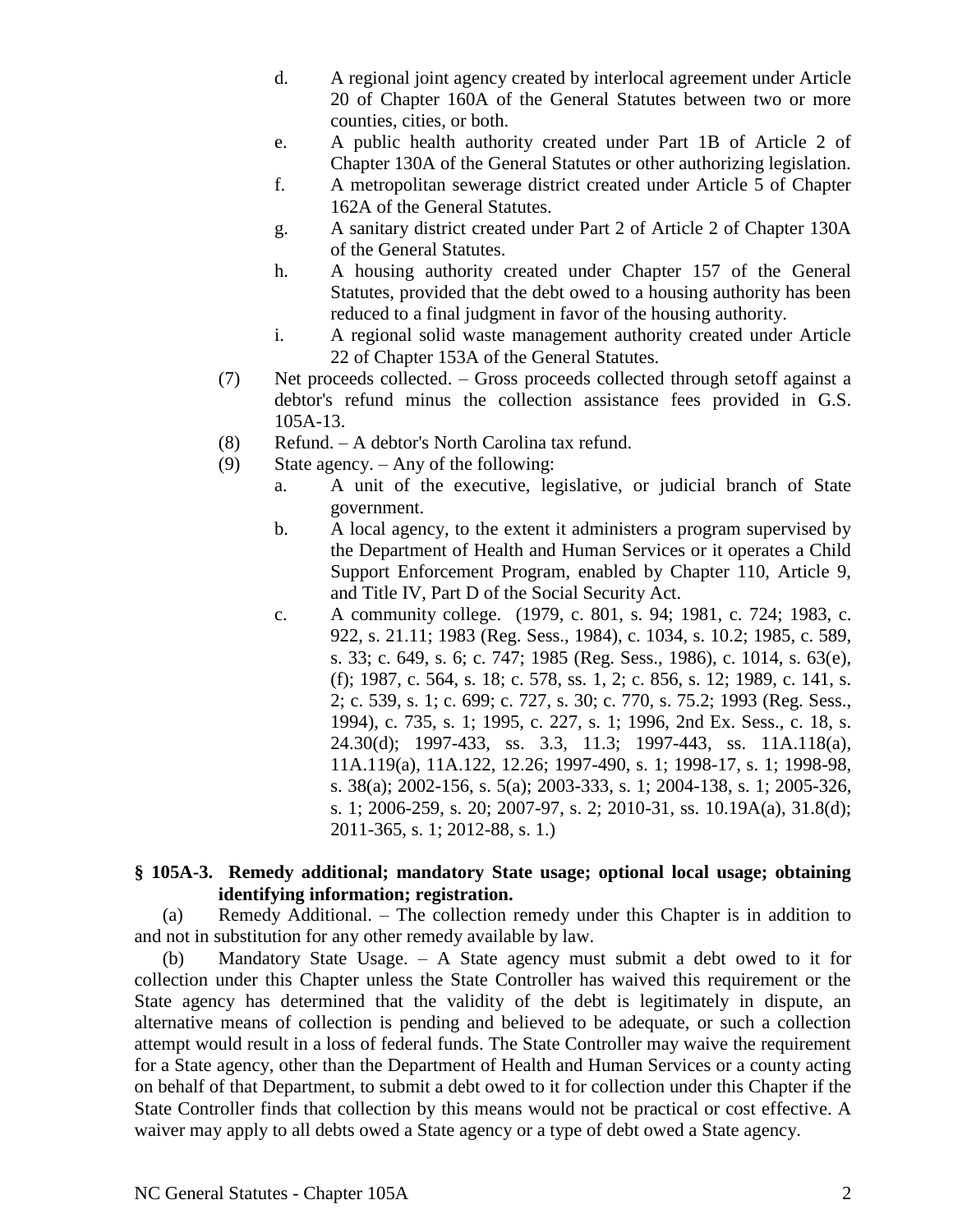- d. A regional joint agency created by interlocal agreement under Article 20 of Chapter 160A of the General Statutes between two or more counties, cities, or both.
- e. A public health authority created under Part 1B of Article 2 of Chapter 130A of the General Statutes or other authorizing legislation.
- f. A metropolitan sewerage district created under Article 5 of Chapter 162A of the General Statutes.
- g. A sanitary district created under Part 2 of Article 2 of Chapter 130A of the General Statutes.
- h. A housing authority created under Chapter 157 of the General Statutes, provided that the debt owed to a housing authority has been reduced to a final judgment in favor of the housing authority.
- i. A regional solid waste management authority created under Article 22 of Chapter 153A of the General Statutes.
- (7) Net proceeds collected. Gross proceeds collected through setoff against a debtor's refund minus the collection assistance fees provided in G.S. 105A-13.
- (8) Refund. A debtor's North Carolina tax refund.
- (9) State agency. Any of the following:
	- a. A unit of the executive, legislative, or judicial branch of State government.
	- b. A local agency, to the extent it administers a program supervised by the Department of Health and Human Services or it operates a Child Support Enforcement Program, enabled by Chapter 110, Article 9, and Title IV, Part D of the Social Security Act.
	- c. A community college. (1979, c. 801, s. 94; 1981, c. 724; 1983, c. 922, s. 21.11; 1983 (Reg. Sess., 1984), c. 1034, s. 10.2; 1985, c. 589, s. 33; c. 649, s. 6; c. 747; 1985 (Reg. Sess., 1986), c. 1014, s. 63(e), (f); 1987, c. 564, s. 18; c. 578, ss. 1, 2; c. 856, s. 12; 1989, c. 141, s. 2; c. 539, s. 1; c. 699; c. 727, s. 30; c. 770, s. 75.2; 1993 (Reg. Sess., 1994), c. 735, s. 1; 1995, c. 227, s. 1; 1996, 2nd Ex. Sess., c. 18, s. 24.30(d); 1997-433, ss. 3.3, 11.3; 1997-443, ss. 11A.118(a), 11A.119(a), 11A.122, 12.26; 1997-490, s. 1; 1998-17, s. 1; 1998-98, s. 38(a); 2002-156, s. 5(a); 2003-333, s. 1; 2004-138, s. 1; 2005-326, s. 1; 2006-259, s. 20; 2007-97, s. 2; 2010-31, ss. 10.19A(a), 31.8(d); 2011-365, s. 1; 2012-88, s. 1.)

# **§ 105A-3. Remedy additional; mandatory State usage; optional local usage; obtaining identifying information; registration.**

(a) Remedy Additional. – The collection remedy under this Chapter is in addition to and not in substitution for any other remedy available by law.

(b) Mandatory State Usage. – A State agency must submit a debt owed to it for collection under this Chapter unless the State Controller has waived this requirement or the State agency has determined that the validity of the debt is legitimately in dispute, an alternative means of collection is pending and believed to be adequate, or such a collection attempt would result in a loss of federal funds. The State Controller may waive the requirement for a State agency, other than the Department of Health and Human Services or a county acting on behalf of that Department, to submit a debt owed to it for collection under this Chapter if the State Controller finds that collection by this means would not be practical or cost effective. A waiver may apply to all debts owed a State agency or a type of debt owed a State agency.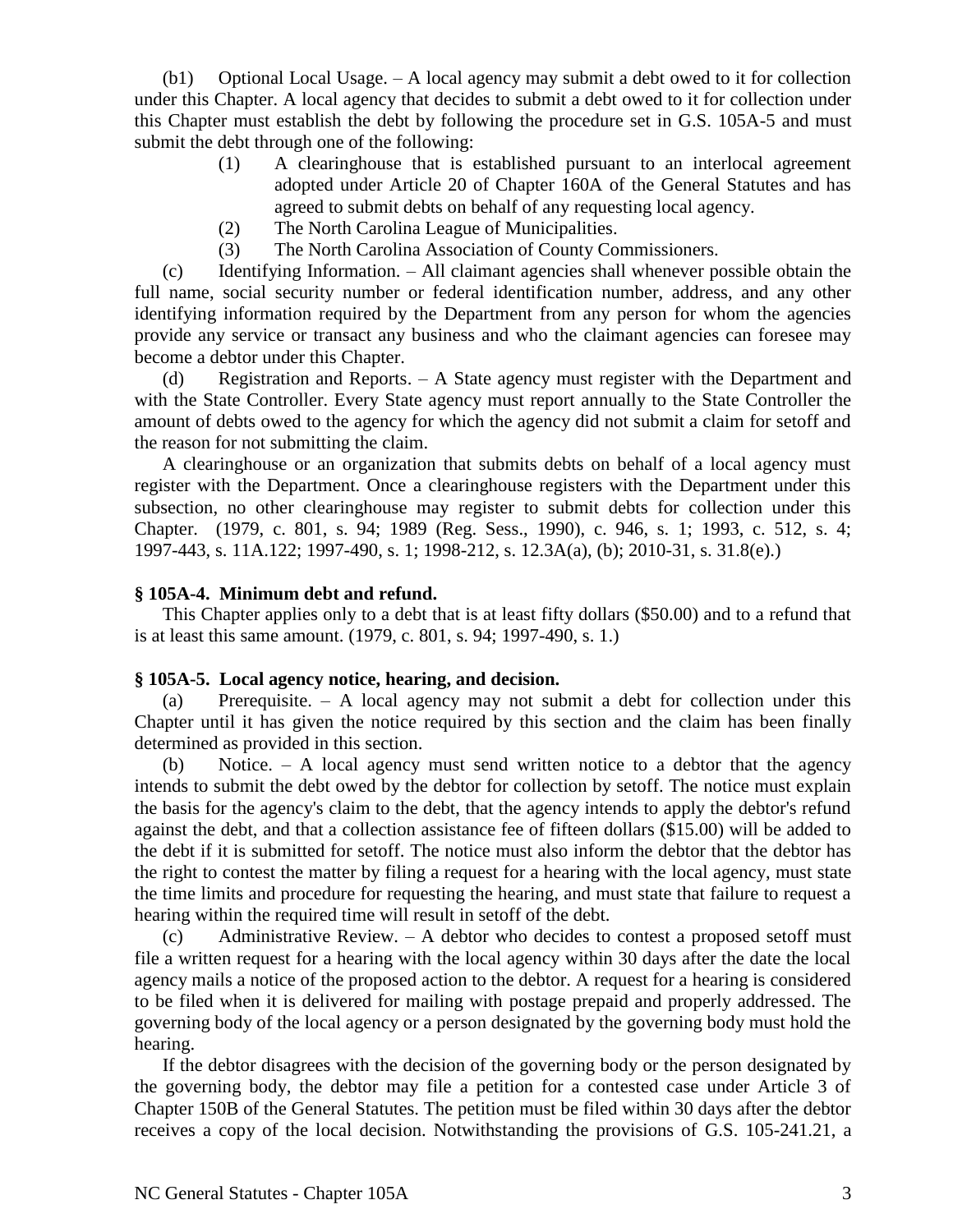(b1) Optional Local Usage. – A local agency may submit a debt owed to it for collection under this Chapter. A local agency that decides to submit a debt owed to it for collection under this Chapter must establish the debt by following the procedure set in G.S. 105A-5 and must submit the debt through one of the following:

- (1) A clearinghouse that is established pursuant to an interlocal agreement adopted under Article 20 of Chapter 160A of the General Statutes and has agreed to submit debts on behalf of any requesting local agency.
- (2) The North Carolina League of Municipalities.
- (3) The North Carolina Association of County Commissioners.

(c) Identifying Information. – All claimant agencies shall whenever possible obtain the full name, social security number or federal identification number, address, and any other identifying information required by the Department from any person for whom the agencies provide any service or transact any business and who the claimant agencies can foresee may become a debtor under this Chapter.

(d) Registration and Reports. – A State agency must register with the Department and with the State Controller. Every State agency must report annually to the State Controller the amount of debts owed to the agency for which the agency did not submit a claim for setoff and the reason for not submitting the claim.

A clearinghouse or an organization that submits debts on behalf of a local agency must register with the Department. Once a clearinghouse registers with the Department under this subsection, no other clearinghouse may register to submit debts for collection under this Chapter. (1979, c. 801, s. 94; 1989 (Reg. Sess., 1990), c. 946, s. 1; 1993, c. 512, s. 4; 1997-443, s. 11A.122; 1997-490, s. 1; 1998-212, s. 12.3A(a), (b); 2010-31, s. 31.8(e).)

#### **§ 105A-4. Minimum debt and refund.**

This Chapter applies only to a debt that is at least fifty dollars (\$50.00) and to a refund that is at least this same amount. (1979, c. 801, s. 94; 1997-490, s. 1.)

#### **§ 105A-5. Local agency notice, hearing, and decision.**

(a) Prerequisite. – A local agency may not submit a debt for collection under this Chapter until it has given the notice required by this section and the claim has been finally determined as provided in this section.

(b) Notice. – A local agency must send written notice to a debtor that the agency intends to submit the debt owed by the debtor for collection by setoff. The notice must explain the basis for the agency's claim to the debt, that the agency intends to apply the debtor's refund against the debt, and that a collection assistance fee of fifteen dollars (\$15.00) will be added to the debt if it is submitted for setoff. The notice must also inform the debtor that the debtor has the right to contest the matter by filing a request for a hearing with the local agency, must state the time limits and procedure for requesting the hearing, and must state that failure to request a hearing within the required time will result in setoff of the debt.

(c) Administrative Review. – A debtor who decides to contest a proposed setoff must file a written request for a hearing with the local agency within 30 days after the date the local agency mails a notice of the proposed action to the debtor. A request for a hearing is considered to be filed when it is delivered for mailing with postage prepaid and properly addressed. The governing body of the local agency or a person designated by the governing body must hold the hearing.

If the debtor disagrees with the decision of the governing body or the person designated by the governing body, the debtor may file a petition for a contested case under Article 3 of Chapter 150B of the General Statutes. The petition must be filed within 30 days after the debtor receives a copy of the local decision. Notwithstanding the provisions of G.S. 105-241.21, a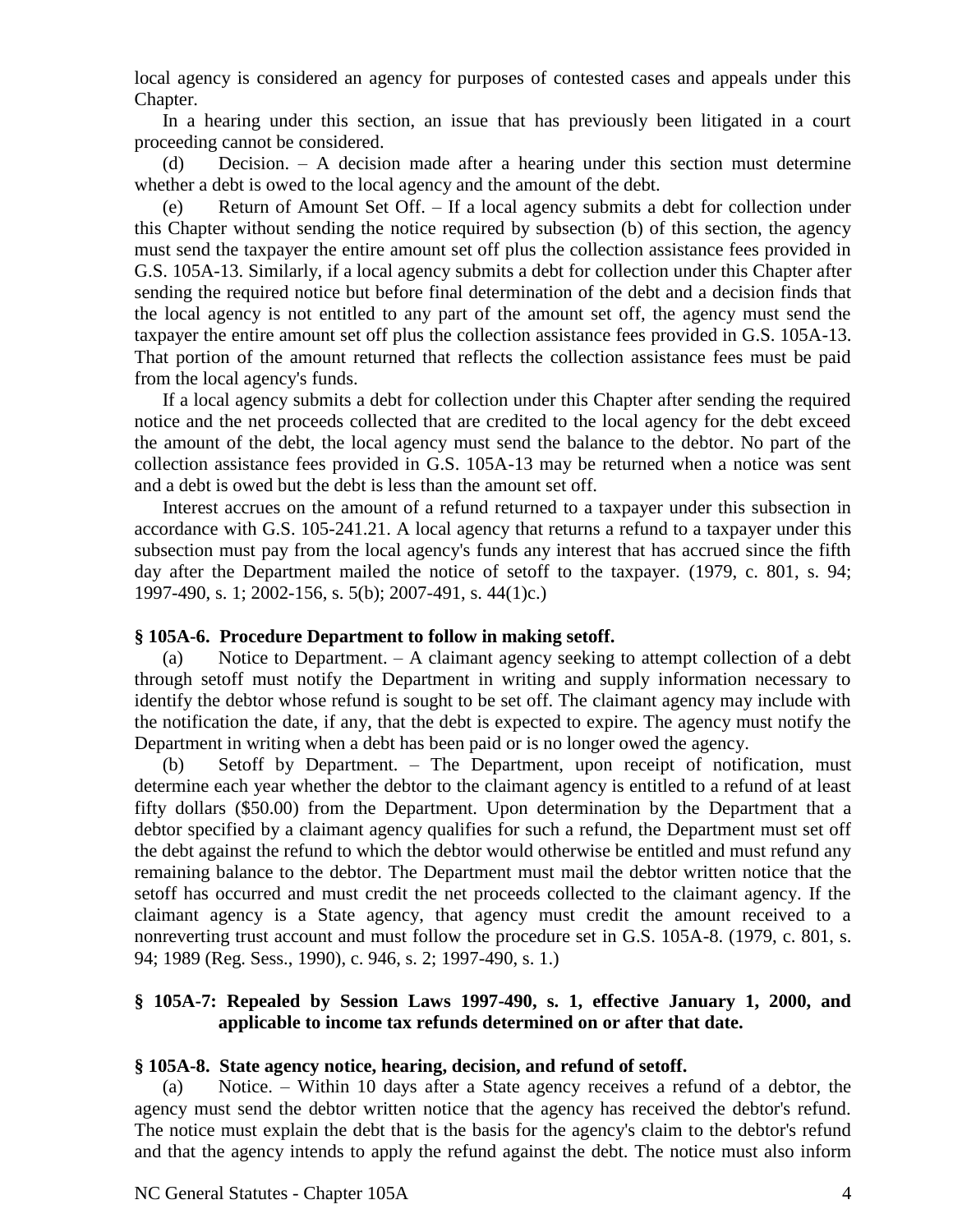local agency is considered an agency for purposes of contested cases and appeals under this Chapter.

In a hearing under this section, an issue that has previously been litigated in a court proceeding cannot be considered.

(d) Decision. – A decision made after a hearing under this section must determine whether a debt is owed to the local agency and the amount of the debt.

(e) Return of Amount Set Off. – If a local agency submits a debt for collection under this Chapter without sending the notice required by subsection (b) of this section, the agency must send the taxpayer the entire amount set off plus the collection assistance fees provided in G.S. 105A-13. Similarly, if a local agency submits a debt for collection under this Chapter after sending the required notice but before final determination of the debt and a decision finds that the local agency is not entitled to any part of the amount set off, the agency must send the taxpayer the entire amount set off plus the collection assistance fees provided in G.S. 105A-13. That portion of the amount returned that reflects the collection assistance fees must be paid from the local agency's funds.

If a local agency submits a debt for collection under this Chapter after sending the required notice and the net proceeds collected that are credited to the local agency for the debt exceed the amount of the debt, the local agency must send the balance to the debtor. No part of the collection assistance fees provided in G.S. 105A-13 may be returned when a notice was sent and a debt is owed but the debt is less than the amount set off.

Interest accrues on the amount of a refund returned to a taxpayer under this subsection in accordance with G.S. 105-241.21. A local agency that returns a refund to a taxpayer under this subsection must pay from the local agency's funds any interest that has accrued since the fifth day after the Department mailed the notice of setoff to the taxpayer. (1979, c. 801, s. 94; 1997-490, s. 1; 2002-156, s. 5(b); 2007-491, s. 44(1)c.)

## **§ 105A-6. Procedure Department to follow in making setoff.**

(a) Notice to Department. – A claimant agency seeking to attempt collection of a debt through setoff must notify the Department in writing and supply information necessary to identify the debtor whose refund is sought to be set off. The claimant agency may include with the notification the date, if any, that the debt is expected to expire. The agency must notify the Department in writing when a debt has been paid or is no longer owed the agency.

(b) Setoff by Department. – The Department, upon receipt of notification, must determine each year whether the debtor to the claimant agency is entitled to a refund of at least fifty dollars (\$50.00) from the Department. Upon determination by the Department that a debtor specified by a claimant agency qualifies for such a refund, the Department must set off the debt against the refund to which the debtor would otherwise be entitled and must refund any remaining balance to the debtor. The Department must mail the debtor written notice that the setoff has occurred and must credit the net proceeds collected to the claimant agency. If the claimant agency is a State agency, that agency must credit the amount received to a nonreverting trust account and must follow the procedure set in G.S. 105A-8. (1979, c. 801, s. 94; 1989 (Reg. Sess., 1990), c. 946, s. 2; 1997-490, s. 1.)

# **§ 105A-7: Repealed by Session Laws 1997-490, s. 1, effective January 1, 2000, and applicable to income tax refunds determined on or after that date.**

## **§ 105A-8. State agency notice, hearing, decision, and refund of setoff.**

(a) Notice. – Within 10 days after a State agency receives a refund of a debtor, the agency must send the debtor written notice that the agency has received the debtor's refund. The notice must explain the debt that is the basis for the agency's claim to the debtor's refund and that the agency intends to apply the refund against the debt. The notice must also inform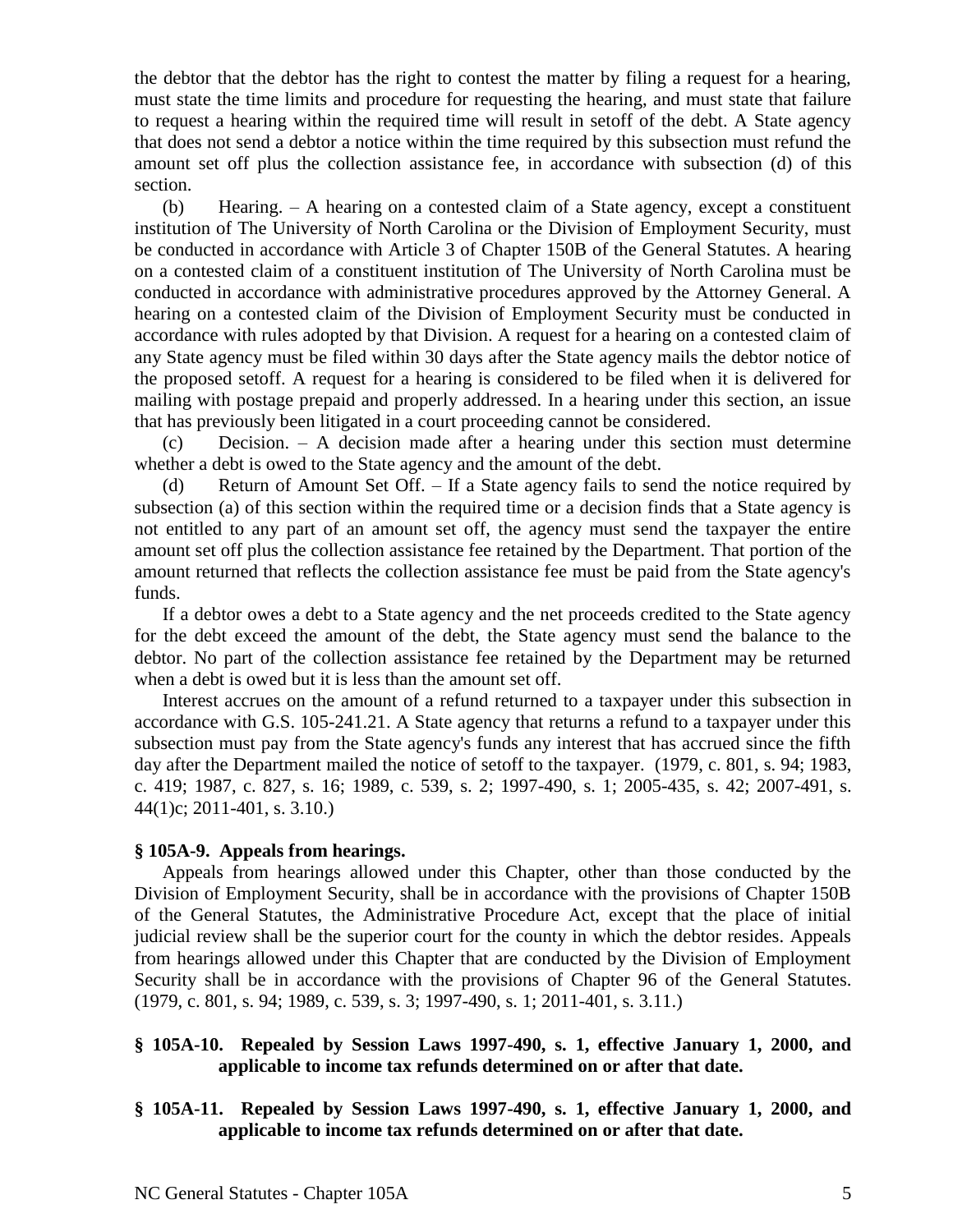the debtor that the debtor has the right to contest the matter by filing a request for a hearing, must state the time limits and procedure for requesting the hearing, and must state that failure to request a hearing within the required time will result in setoff of the debt. A State agency that does not send a debtor a notice within the time required by this subsection must refund the amount set off plus the collection assistance fee, in accordance with subsection (d) of this section.

(b) Hearing. – A hearing on a contested claim of a State agency, except a constituent institution of The University of North Carolina or the Division of Employment Security, must be conducted in accordance with Article 3 of Chapter 150B of the General Statutes. A hearing on a contested claim of a constituent institution of The University of North Carolina must be conducted in accordance with administrative procedures approved by the Attorney General. A hearing on a contested claim of the Division of Employment Security must be conducted in accordance with rules adopted by that Division. A request for a hearing on a contested claim of any State agency must be filed within 30 days after the State agency mails the debtor notice of the proposed setoff. A request for a hearing is considered to be filed when it is delivered for mailing with postage prepaid and properly addressed. In a hearing under this section, an issue that has previously been litigated in a court proceeding cannot be considered.

(c) Decision. – A decision made after a hearing under this section must determine whether a debt is owed to the State agency and the amount of the debt.

(d) Return of Amount Set Off. – If a State agency fails to send the notice required by subsection (a) of this section within the required time or a decision finds that a State agency is not entitled to any part of an amount set off, the agency must send the taxpayer the entire amount set off plus the collection assistance fee retained by the Department. That portion of the amount returned that reflects the collection assistance fee must be paid from the State agency's funds.

If a debtor owes a debt to a State agency and the net proceeds credited to the State agency for the debt exceed the amount of the debt, the State agency must send the balance to the debtor. No part of the collection assistance fee retained by the Department may be returned when a debt is owed but it is less than the amount set off.

Interest accrues on the amount of a refund returned to a taxpayer under this subsection in accordance with G.S. 105-241.21. A State agency that returns a refund to a taxpayer under this subsection must pay from the State agency's funds any interest that has accrued since the fifth day after the Department mailed the notice of setoff to the taxpayer. (1979, c. 801, s. 94; 1983, c. 419; 1987, c. 827, s. 16; 1989, c. 539, s. 2; 1997-490, s. 1; 2005-435, s. 42; 2007-491, s. 44(1)c; 2011-401, s. 3.10.)

#### **§ 105A-9. Appeals from hearings.**

Appeals from hearings allowed under this Chapter, other than those conducted by the Division of Employment Security, shall be in accordance with the provisions of Chapter 150B of the General Statutes, the Administrative Procedure Act, except that the place of initial judicial review shall be the superior court for the county in which the debtor resides. Appeals from hearings allowed under this Chapter that are conducted by the Division of Employment Security shall be in accordance with the provisions of Chapter 96 of the General Statutes. (1979, c. 801, s. 94; 1989, c. 539, s. 3; 1997-490, s. 1; 2011-401, s. 3.11.)

## **§ 105A-10. Repealed by Session Laws 1997-490, s. 1, effective January 1, 2000, and applicable to income tax refunds determined on or after that date.**

**§ 105A-11. Repealed by Session Laws 1997-490, s. 1, effective January 1, 2000, and applicable to income tax refunds determined on or after that date.**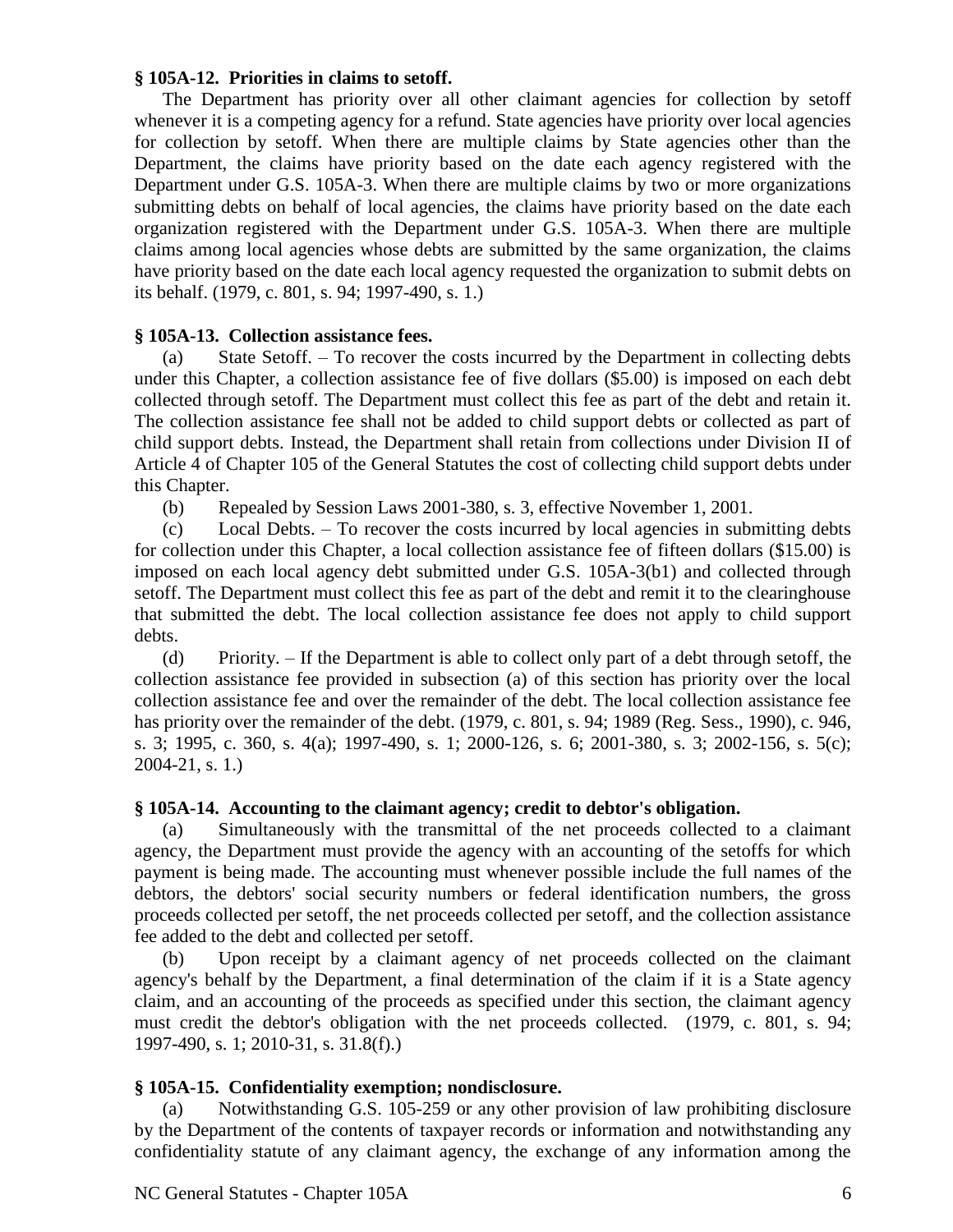## **§ 105A-12. Priorities in claims to setoff.**

The Department has priority over all other claimant agencies for collection by setoff whenever it is a competing agency for a refund. State agencies have priority over local agencies for collection by setoff. When there are multiple claims by State agencies other than the Department, the claims have priority based on the date each agency registered with the Department under G.S. 105A-3. When there are multiple claims by two or more organizations submitting debts on behalf of local agencies, the claims have priority based on the date each organization registered with the Department under G.S. 105A-3. When there are multiple claims among local agencies whose debts are submitted by the same organization, the claims have priority based on the date each local agency requested the organization to submit debts on its behalf. (1979, c. 801, s. 94; 1997-490, s. 1.)

#### **§ 105A-13. Collection assistance fees.**

(a) State Setoff. – To recover the costs incurred by the Department in collecting debts under this Chapter, a collection assistance fee of five dollars (\$5.00) is imposed on each debt collected through setoff. The Department must collect this fee as part of the debt and retain it. The collection assistance fee shall not be added to child support debts or collected as part of child support debts. Instead, the Department shall retain from collections under Division II of Article 4 of Chapter 105 of the General Statutes the cost of collecting child support debts under this Chapter.

(b) Repealed by Session Laws 2001-380, s. 3, effective November 1, 2001.

(c) Local Debts. – To recover the costs incurred by local agencies in submitting debts for collection under this Chapter, a local collection assistance fee of fifteen dollars (\$15.00) is imposed on each local agency debt submitted under G.S. 105A-3(b1) and collected through setoff. The Department must collect this fee as part of the debt and remit it to the clearinghouse that submitted the debt. The local collection assistance fee does not apply to child support debts.

(d) Priority. – If the Department is able to collect only part of a debt through setoff, the collection assistance fee provided in subsection (a) of this section has priority over the local collection assistance fee and over the remainder of the debt. The local collection assistance fee has priority over the remainder of the debt. (1979, c. 801, s. 94; 1989 (Reg. Sess., 1990), c. 946, s. 3; 1995, c. 360, s. 4(a); 1997-490, s. 1; 2000-126, s. 6; 2001-380, s. 3; 2002-156, s. 5(c); 2004-21, s. 1.)

## **§ 105A-14. Accounting to the claimant agency; credit to debtor's obligation.**

(a) Simultaneously with the transmittal of the net proceeds collected to a claimant agency, the Department must provide the agency with an accounting of the setoffs for which payment is being made. The accounting must whenever possible include the full names of the debtors, the debtors' social security numbers or federal identification numbers, the gross proceeds collected per setoff, the net proceeds collected per setoff, and the collection assistance fee added to the debt and collected per setoff.

(b) Upon receipt by a claimant agency of net proceeds collected on the claimant agency's behalf by the Department, a final determination of the claim if it is a State agency claim, and an accounting of the proceeds as specified under this section, the claimant agency must credit the debtor's obligation with the net proceeds collected. (1979, c. 801, s. 94; 1997-490, s. 1; 2010-31, s. 31.8(f).)

## **§ 105A-15. Confidentiality exemption; nondisclosure.**

(a) Notwithstanding G.S. 105-259 or any other provision of law prohibiting disclosure by the Department of the contents of taxpayer records or information and notwithstanding any confidentiality statute of any claimant agency, the exchange of any information among the